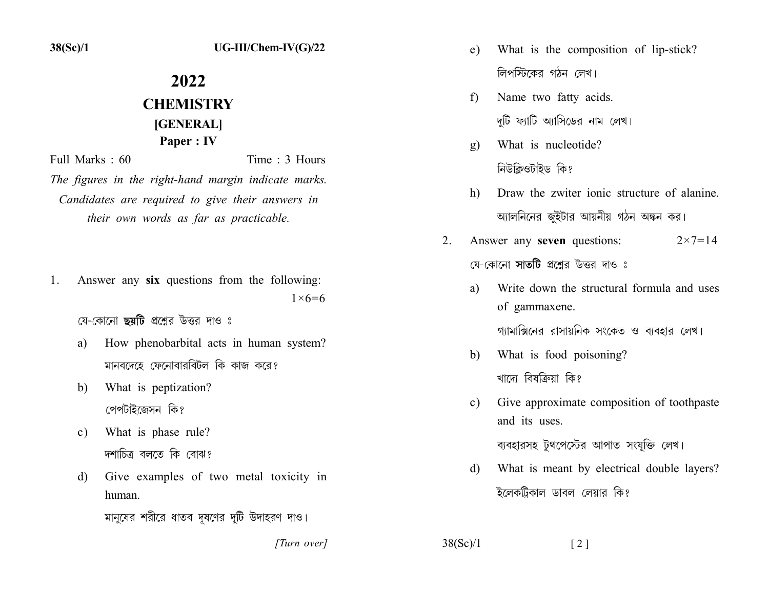## 2022 **CHEMISTRY** [GENERAL] Paper : IV

Full Marks: 60 Time  $\cdot$  3 Hours

The figures in the right-hand margin indicate marks. Candidates are required to give their answers in their own words as far as practicable.

Answer any six questions from the following: 1.  $1 \times 6 = 6$ 

যে-কোনো **ছয়টি** প্রশ্নের উত্তর দাও ঃ

- How phenobarbital acts in human system? a) মানবদেহে ফেনোবারবিটল কি কাজ করে?
- What is peptization? b) পেপটাইজেসন কি?
- What is phase rule?  $\mathbf{c}$ ) দশাচিত্র বলতে কি বোঝ?
- Give examples of two metal toxicity in d) human.
	- মানুষের শরীরে ধাতব দূষণের দুটি উদাহরণ দাও।
		- [Turn over]
- What is the composition of lip-stick?  $e)$ লিপস্টিকের গঠন লেখ।
- Name two fatty acids. f) দটি ফ্যাটি অ্যাসিডের নাম লেখ।
- What is nucleotide?  $\mathbf{g}$ ) নিউক্লিওটাইড কি?
- Draw the zwiter ionic structure of alanine  $h)$ অ্যালনিনের জুইটার আয়নীয় গঠন অঙ্কন কর।
- $\overline{2}$ Answer any seven questions:  $2 \times 7 = 14$ যে-কোনো সাতটি প্রশ্নের উত্তর দাও ঃ
	- Write down the structural formula and uses a) of gammaxene.

গ্যামাক্সিনের রাসায়নিক সংকেত ও ব্যবহার লেখ।

- What is food poisoning? b) খাদে বিষক্রিয়া কি?
- Give approximate composition of toothpaste  $c)$ and its uses.

ব্যবহারসহ টুথপেস্টের আপাত সংযুক্তি লেখ।

What is meant by electrical double layers? d) ইলেকট্রিকাল ডাবল লেয়ার কি?

 $38(Sc)/1$  $\lceil 2 \rceil$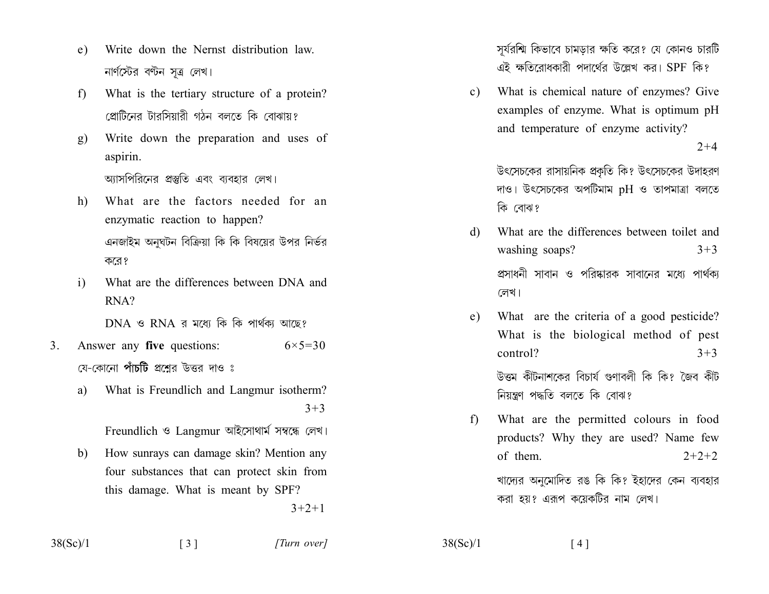- Write down the Nernst distribution law  $e)$ নার্ণস্টের বণ্টন সত্র লেখ।
- What is the tertiary structure of a protein?  $f$ প্রোটিনের টারসিয়ারী গঠন বলতে কি বোঝায়?
- Write down the preparation and uses of g) aspirin. আসপিরিনের প্রস্তুতি এবং বাবহার লেখ।
- What are the factors needed for an h) enzymatic reaction to happen? এনজাইম অনুঘটন বিক্রিয়া কি কি বিষয়ের উপর নির্ভর করে?
- What are the differences between DNA and  $\mathbf{i}$  $RNA?$

 $DNA \,$  ও  $RNA \,$ র মধ্যে কি কি পার্থকা আছে?

- $3<sub>1</sub>$ Answer any five questions:  $6 \times 5 = 30$ য়ে-কোনো **পাঁচটি** প্রশ্নের উত্তর দাও ঃ
	- What is Freundlich and Langmur isotherm? a)  $3 + 3$

Freundlich ও Langmur আইসোথার্ম সম্বন্ধে লেখ।

How sunrays can damage skin? Mention any  $b)$ four substances that can protect skin from this damage. What is meant by SPF?  $3 + 2 + 1$ 

সূর্যরশ্মি কিভাবে চামডার ক্ষতি করে? যে কোনও চারটি এই ক্ষতিরোধকারী পদার্থের উল্লেখ কর। SPF কি?

What is chemical nature of enzymes? Give  $c)$ examples of enzyme. What is optimum pH and temperature of enzyme activity?

 $2 + 4$ 

উৎসেচকের রাসায়নিক প্রকৃতি কি? উৎসেচকের উদাহরণ দাও। উৎসেচকের অপটিমাম pH ও তাপমাত্রা বলতে কি বোঝ?

- What are the differences between toilet and d) washing soaps?  $3 + 3$ প্রসাধনী সাবান ও পরিষ্কারক সাবানের মধ্যে পার্থক্য লেখ।
- What are the criteria of a good pesticide?  $e)$ What is the biological method of pest control?  $3 + 3$ উত্তম কীটনাশকের বিচার্য গুণাবলী কি কি? জৈব কীট

নিয়ন্ত্রণ পদ্ধতি বলতে কি বোঝ?

What are the permitted colours in food f) products? Why they are used? Name few of them.  $2+2+2$ খাদ্যের অনুমোদিত রঙ কি কি? ইহাদের কেন ব্যবহার করা হয়? এরূপ কয়েকটির নাম লেখ।

 $38(Sc)/1$